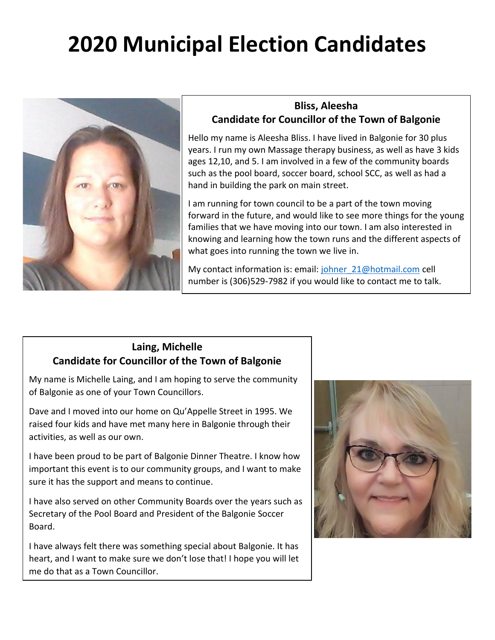# **2020 Municipal Election Candidates**



### **Bliss, Aleesha Candidate for Councillor of the Town of Balgonie**

Hello my name is Aleesha Bliss. I have lived in Balgonie for 30 plus years. I run my own Massage therapy business, as well as have 3 kids ages 12,10, and 5. I am involved in a few of the community boards such as the pool board, soccer board, school SCC, as well as had a hand in building the park on main street.

I am running for town council to be a part of the town moving forward in the future, and would like to see more things for the young families that we have moving into our town. I am also interested in knowing and learning how the town runs and the different aspects of what goes into running the town we live in.

My contact information is: email: [johner\\_21@hotmail.com](mailto:johner_21@hotmail.com) cell number is (306)529-7982 if you would like to contact me to talk.

#### **Laing, Michelle Candidate for Councillor of the Town of Balgonie**

My name is Michelle Laing, and I am hoping to serve the community of Balgonie as one of your Town Councillors.

Dave and I moved into our home on Qu'Appelle Street in 1995. We raised four kids and have met many here in Balgonie through their activities, as well as our own.

I have been proud to be part of Balgonie Dinner Theatre. I know how important this event is to our community groups, and I want to make sure it has the support and means to continue.

I have also served on other Community Boards over the years such as Secretary of the Pool Board and President of the Balgonie Soccer Board.

I have always felt there was something special about Balgonie. It has heart, and I want to make sure we don't lose that! I hope you will let me do that as a Town Councillor.

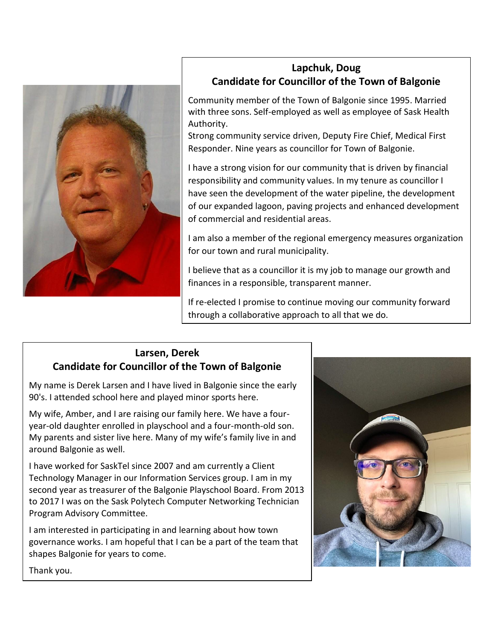

# **Lapchuk, Doug Candidate for Councillor of the Town of Balgonie**

Community member of the Town of Balgonie since 1995. Married with three sons. Self-employed as well as employee of Sask Health Authority.

Strong community service driven, Deputy Fire Chief, Medical First Responder. Nine years as councillor for Town of Balgonie.

I have a strong vision for our community that is driven by financial responsibility and community values. In my tenure as councillor I have seen the development of the water pipeline, the development of our expanded lagoon, paving projects and enhanced development of commercial and residential areas.

I am also a member of the regional emergency measures organization for our town and rural municipality.

I believe that as a councillor it is my job to manage our growth and finances in a responsible, transparent manner.

If re-elected I promise to continue moving our community forward through a collaborative approach to all that we do.

### **Larsen, Derek Candidate for Councillor of the Town of Balgonie**

My name is Derek Larsen and I have lived in Balgonie since the early 90's. I attended school here and played minor sports here.

My wife, Amber, and I are raising our family here. We have a fouryear-old daughter enrolled in playschool and a four-month-old son. My parents and sister live here. Many of my wife's family live in and around Balgonie as well.

I have worked for SaskTel since 2007 and am currently a Client Technology Manager in our Information Services group. I am in my second year as treasurer of the Balgonie Playschool Board. From 2013 to 2017 I was on the Sask Polytech Computer Networking Technician Program Advisory Committee.

I am interested in participating in and learning about how town governance works. I am hopeful that I can be a part of the team that shapes Balgonie for years to come.



Thank you.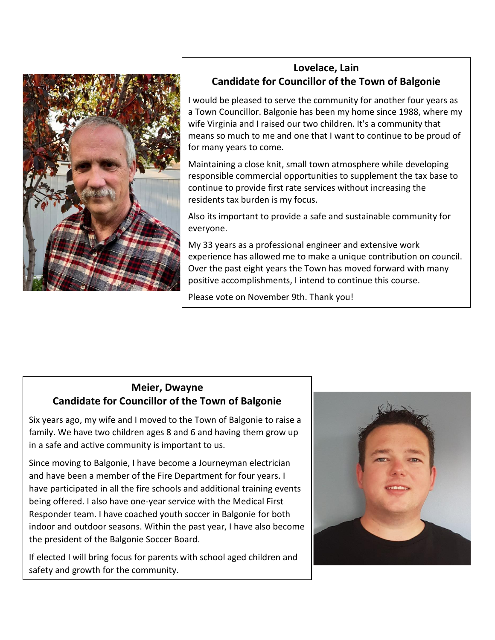

# **Lovelace, Lain Candidate for Councillor of the Town of Balgonie**

I would be pleased to serve the community for another four years as a Town Councillor. Balgonie has been my home since 1988, where my wife Virginia and I raised our two children. It's a community that means so much to me and one that I want to continue to be proud of for many years to come.

Maintaining a close knit, small town atmosphere while developing responsible commercial opportunities to supplement the tax base to continue to provide first rate services without increasing the residents tax burden is my focus.

Also its important to provide a safe and sustainable community for everyone.

My 33 years as a professional engineer and extensive work experience has allowed me to make a unique contribution on council. Over the past eight years the Town has moved forward with many positive accomplishments, I intend to continue this course.

Please vote on November 9th. Thank you!

# **Meier, Dwayne Candidate for Councillor of the Town of Balgonie**

Six years ago, my wife and I moved to the Town of Balgonie to raise a family. We have two children ages 8 and 6 and having them grow up in a safe and active community is important to us.

Since moving to Balgonie, I have become a Journeyman electrician and have been a member of the Fire Department for four years. I have participated in all the fire schools and additional training events being offered. I also have one-year service with the Medical First Responder team. I have coached youth soccer in Balgonie for both indoor and outdoor seasons. Within the past year, I have also become the president of the Balgonie Soccer Board.

If elected I will bring focus for parents with school aged children and safety and growth for the community.

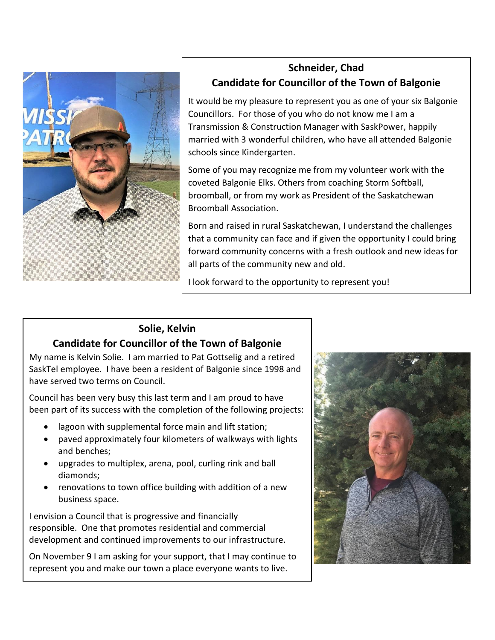

# **Schneider, Chad Candidate for Councillor of the Town of Balgonie**

It would be my pleasure to represent you as one of your six Balgonie Councillors. For those of you who do not know me I am a Transmission & Construction Manager with SaskPower, happily married with 3 wonderful children, who have all attended Balgonie schools since Kindergarten.

Some of you may recognize me from my volunteer work with the coveted Balgonie Elks. Others from coaching Storm Softball, broomball, or from my work as President of the Saskatchewan Broomball Association.

Born and raised in rural Saskatchewan, I understand the challenges that a community can face and if given the opportunity I could bring forward community concerns with a fresh outlook and new ideas for all parts of the community new and old.

I look forward to the opportunity to represent you!

# **Solie, Kelvin**

# **Candidate for Councillor of the Town of Balgonie**

My name is Kelvin Solie. I am married to Pat Gottselig and a retired SaskTel employee. I have been a resident of Balgonie since 1998 and have served two terms on Council.

Council has been very busy this last term and I am proud to have been part of its success with the completion of the following projects:

- lagoon with supplemental force main and lift station;
- paved approximately four kilometers of walkways with lights and benches;
- upgrades to multiplex, arena, pool, curling rink and ball diamonds;
- renovations to town office building with addition of a new business space.

I envision a Council that is progressive and financially responsible. One that promotes residential and commercial development and continued improvements to our infrastructure.

On November 9 I am asking for your support, that I may continue to represent you and make our town a place everyone wants to live.